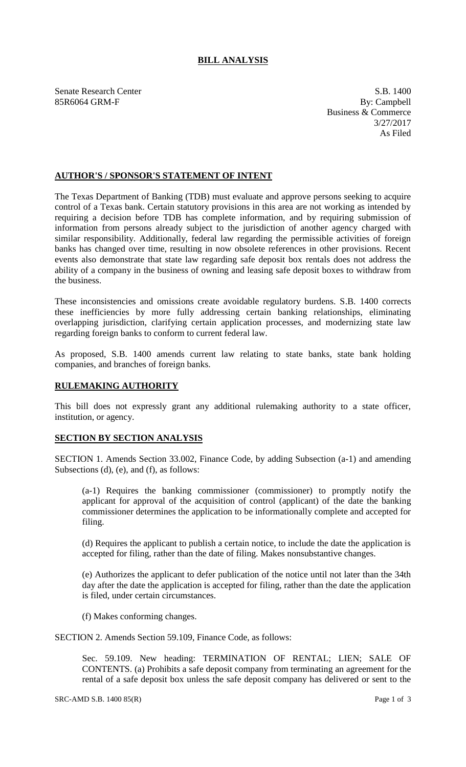## **BILL ANALYSIS**

Senate Research Center S.B. 1400 85R6064 GRM-F By: Campbell

Business & Commerce 3/27/2017 As Filed

## **AUTHOR'S / SPONSOR'S STATEMENT OF INTENT**

The Texas Department of Banking (TDB) must evaluate and approve persons seeking to acquire control of a Texas bank. Certain statutory provisions in this area are not working as intended by requiring a decision before TDB has complete information, and by requiring submission of information from persons already subject to the jurisdiction of another agency charged with similar responsibility. Additionally, federal law regarding the permissible activities of foreign banks has changed over time, resulting in now obsolete references in other provisions. Recent events also demonstrate that state law regarding safe deposit box rentals does not address the ability of a company in the business of owning and leasing safe deposit boxes to withdraw from the business.

These inconsistencies and omissions create avoidable regulatory burdens. S.B. 1400 corrects these inefficiencies by more fully addressing certain banking relationships, eliminating overlapping jurisdiction, clarifying certain application processes, and modernizing state law regarding foreign banks to conform to current federal law.

As proposed, S.B. 1400 amends current law relating to state banks, state bank holding companies, and branches of foreign banks.

## **RULEMAKING AUTHORITY**

This bill does not expressly grant any additional rulemaking authority to a state officer, institution, or agency.

## **SECTION BY SECTION ANALYSIS**

SECTION 1. Amends Section 33.002, Finance Code, by adding Subsection (a-1) and amending Subsections (d), (e), and (f), as follows:

(a-1) Requires the banking commissioner (commissioner) to promptly notify the applicant for approval of the acquisition of control (applicant) of the date the banking commissioner determines the application to be informationally complete and accepted for filing.

(d) Requires the applicant to publish a certain notice, to include the date the application is accepted for filing, rather than the date of filing. Makes nonsubstantive changes.

(e) Authorizes the applicant to defer publication of the notice until not later than the 34th day after the date the application is accepted for filing, rather than the date the application is filed, under certain circumstances.

(f) Makes conforming changes.

SECTION 2. Amends Section 59.109, Finance Code, as follows:

Sec. 59.109. New heading: TERMINATION OF RENTAL; LIEN; SALE OF CONTENTS. (a) Prohibits a safe deposit company from terminating an agreement for the rental of a safe deposit box unless the safe deposit company has delivered or sent to the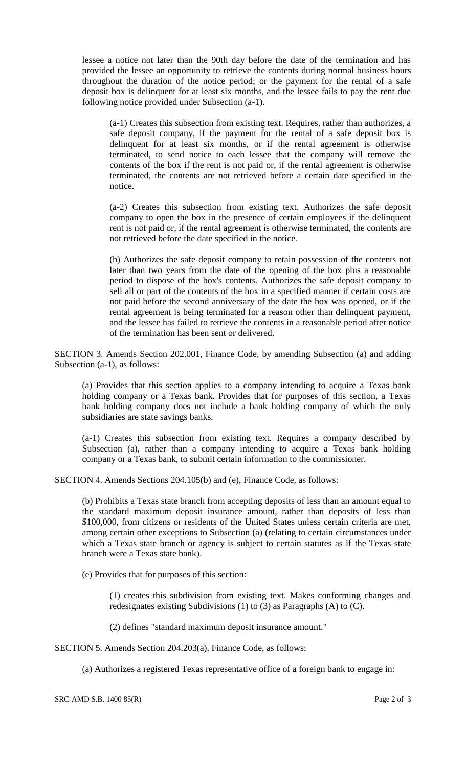lessee a notice not later than the 90th day before the date of the termination and has provided the lessee an opportunity to retrieve the contents during normal business hours throughout the duration of the notice period; or the payment for the rental of a safe deposit box is delinquent for at least six months, and the lessee fails to pay the rent due following notice provided under Subsection (a-1).

(a-1) Creates this subsection from existing text. Requires, rather than authorizes, a safe deposit company, if the payment for the rental of a safe deposit box is delinquent for at least six months, or if the rental agreement is otherwise terminated, to send notice to each lessee that the company will remove the contents of the box if the rent is not paid or, if the rental agreement is otherwise terminated, the contents are not retrieved before a certain date specified in the notice.

(a-2) Creates this subsection from existing text. Authorizes the safe deposit company to open the box in the presence of certain employees if the delinquent rent is not paid or, if the rental agreement is otherwise terminated, the contents are not retrieved before the date specified in the notice.

(b) Authorizes the safe deposit company to retain possession of the contents not later than two years from the date of the opening of the box plus a reasonable period to dispose of the box's contents. Authorizes the safe deposit company to sell all or part of the contents of the box in a specified manner if certain costs are not paid before the second anniversary of the date the box was opened, or if the rental agreement is being terminated for a reason other than delinquent payment, and the lessee has failed to retrieve the contents in a reasonable period after notice of the termination has been sent or delivered.

SECTION 3. Amends Section 202.001, Finance Code, by amending Subsection (a) and adding Subsection (a-1), as follows:

(a) Provides that this section applies to a company intending to acquire a Texas bank holding company or a Texas bank. Provides that for purposes of this section, a Texas bank holding company does not include a bank holding company of which the only subsidiaries are state savings banks.

(a-1) Creates this subsection from existing text. Requires a company described by Subsection (a), rather than a company intending to acquire a Texas bank holding company or a Texas bank, to submit certain information to the commissioner.

SECTION 4. Amends Sections 204.105(b) and (e), Finance Code, as follows:

(b) Prohibits a Texas state branch from accepting deposits of less than an amount equal to the standard maximum deposit insurance amount, rather than deposits of less than \$100,000, from citizens or residents of the United States unless certain criteria are met, among certain other exceptions to Subsection (a) (relating to certain circumstances under which a Texas state branch or agency is subject to certain statutes as if the Texas state branch were a Texas state bank).

(e) Provides that for purposes of this section:

(1) creates this subdivision from existing text. Makes conforming changes and redesignates existing Subdivisions (1) to (3) as Paragraphs (A) to (C).

(2) defines "standard maximum deposit insurance amount."

SECTION 5. Amends Section 204.203(a), Finance Code, as follows:

(a) Authorizes a registered Texas representative office of a foreign bank to engage in: